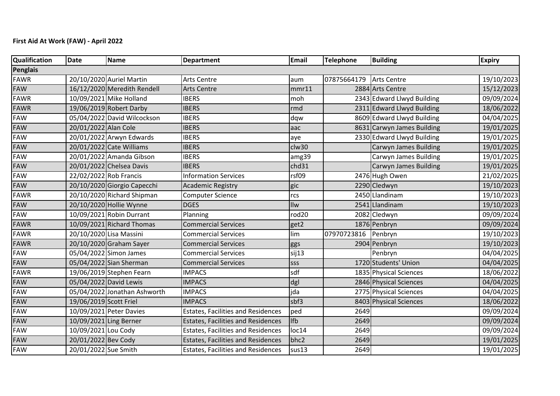## **First Aid At Work (FAW) - April 2022**

| Qualification | <b>Date</b>            | Name                         | <b>Department</b>                         | Email             | <b>Telephone</b> | <b>Building</b>            | <b>Expiry</b> |  |  |  |
|---------------|------------------------|------------------------------|-------------------------------------------|-------------------|------------------|----------------------------|---------------|--|--|--|
| Penglais      |                        |                              |                                           |                   |                  |                            |               |  |  |  |
| <b>FAWR</b>   |                        | 20/10/2020 Auriel Martin     | <b>Arts Centre</b>                        | aum               | 07875664179      | Arts Centre                | 19/10/2023    |  |  |  |
| FAW           |                        | 16/12/2020 Meredith Rendell  | <b>Arts Centre</b>                        | mmr11             |                  | 2884 Arts Centre           | 15/12/2023    |  |  |  |
| <b>FAWR</b>   |                        | 10/09/2021 Mike Holland      | <b>IBERS</b>                              | moh               |                  | 2343 Edward Llwyd Building | 09/09/2024    |  |  |  |
| <b>FAWR</b>   |                        | 19/06/2019 Robert Darby      | <b>IBERS</b>                              | rmd               |                  | 2311 Edward Llwyd Building | 18/06/2022    |  |  |  |
| <b>FAW</b>    |                        | 05/04/2022 David Wilcockson  | <b>IBERS</b>                              | dqw               |                  | 8609 Edward Llwyd Building | 04/04/2025    |  |  |  |
| FAW           | 20/01/2022 Alan Cole   |                              | <b>IBERS</b>                              | aac               |                  | 8631 Carwyn James Building | 19/01/2025    |  |  |  |
| <b>FAW</b>    |                        | 20/01/2022 Arwyn Edwards     | <b>IBERS</b>                              | aye               |                  | 2330 Edward Llwyd Building | 19/01/2025    |  |  |  |
| <b>FAW</b>    |                        | 20/01/2022 Cate Williams     | <b>IBERS</b>                              | clw30             |                  | Carwyn James Building      | 19/01/2025    |  |  |  |
| FAW           |                        | 20/01/2022 Amanda Gibson     | <b>IBERS</b>                              | amg39             |                  | Carwyn James Building      | 19/01/2025    |  |  |  |
| <b>FAW</b>    |                        | 20/01/2022 Chelsea Davis     | <b>IBERS</b>                              | chd31             |                  | Carwyn James Building      | 19/01/2025    |  |  |  |
| FAW           | 22/02/2022 Rob Francis |                              | <b>Information Services</b>               | rsf09             |                  | 2476 Hugh Owen             | 21/02/2025    |  |  |  |
| <b>FAW</b>    |                        | 20/10/2020 Giorgio Capecchi  | <b>Academic Registry</b>                  | gic               |                  | 2290 Cledwyn               | 19/10/2023    |  |  |  |
| <b>FAWR</b>   |                        | 20/10/2020 Richard Shipman   | <b>Computer Science</b>                   | rcs               |                  | 2450 Llandinam             | 19/10/2023    |  |  |  |
| FAW           |                        | 20/10/2020 Hollie Wynne      | <b>DGES</b>                               | Ilw               |                  | 2541 Llandinam             | 19/10/2023    |  |  |  |
| FAW           |                        | 10/09/2021 Robin Durrant     | Planning                                  | rod <sub>20</sub> |                  | 2082 Cledwyn               | 09/09/2024    |  |  |  |
| <b>FAWR</b>   |                        | 10/09/2021 Richard Thomas    | <b>Commercial Services</b>                | get2              |                  | 1876 Penbryn               | 09/09/2024    |  |  |  |
| <b>FAWR</b>   |                        | 20/10/2020 Lisa Massini      | <b>Commercial Services</b>                | lim               | 07970723816      | Penbryn                    | 19/10/2023    |  |  |  |
| <b>FAWR</b>   |                        | 20/10/2020 Graham Sayer      | <b>Commercial Services</b>                | ggs               |                  | 2904 Penbryn               | 19/10/2023    |  |  |  |
| <b>FAW</b>    |                        | 05/04/2022 Simon James       | <b>Commercial Services</b>                | sij13             |                  | Penbryn                    | 04/04/2025    |  |  |  |
| <b>FAW</b>    |                        | 05/04/2022 Sian Sherman      | <b>Commercial Services</b>                | SSS               |                  | 1720 Students' Union       | 04/04/2025    |  |  |  |
| <b>FAWR</b>   |                        | 19/06/2019 Stephen Fearn     | <b>IMPACS</b>                             | sdf               |                  | 1835 Physical Sciences     | 18/06/2022    |  |  |  |
| FAW           | 05/04/2022 David Lewis |                              | <b>IMPACS</b>                             | dgl               |                  | 2846 Physical Sciences     | 04/04/2025    |  |  |  |
| <b>FAW</b>    |                        | 05/04/2022 Jonathan Ashworth | <b>IMPACS</b>                             | jda               |                  | 2775 Physical Sciences     | 04/04/2025    |  |  |  |
| <b>FAW</b>    | 19/06/2019 Scott Friel |                              | <b>IMPACS</b>                             | sbf3              |                  | 8403 Physical Sciences     | 18/06/2022    |  |  |  |
| FAW           |                        | 10/09/2021 Peter Davies      | <b>Estates, Facilities and Residences</b> | ped               | 2649             |                            | 09/09/2024    |  |  |  |
| <b>FAW</b>    | 10/09/2021 Ling Berner |                              | <b>Estates, Facilities and Residences</b> | <b>Ifb</b>        | 2649             |                            | 09/09/2024    |  |  |  |
| FAW           | 10/09/2021 Lou Cody    |                              | <b>Estates, Facilities and Residences</b> | loc14             | 2649             |                            | 09/09/2024    |  |  |  |
| <b>FAW</b>    | 20/01/2022 Bev Cody    |                              | <b>Estates, Facilities and Residences</b> | bhc2              | 2649             |                            | 19/01/2025    |  |  |  |
| <b>FAW</b>    | 20/01/2022 Sue Smith   |                              | <b>Estates, Facilities and Residences</b> | sus13             | 2649             |                            | 19/01/2025    |  |  |  |